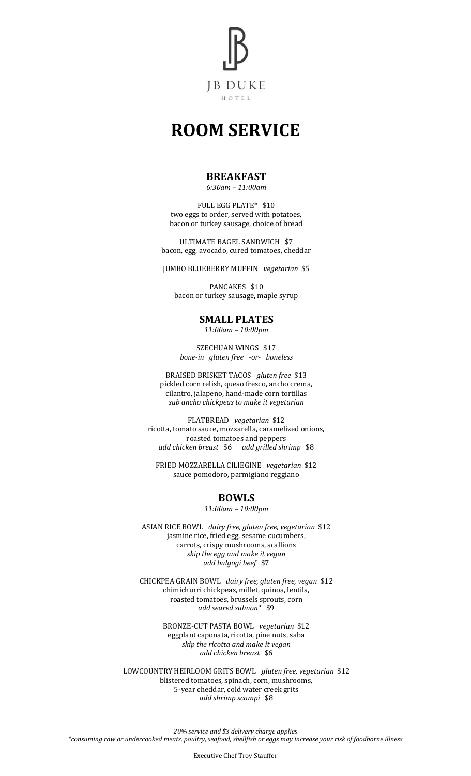

# **ROOM SERVICE**

#### **BREAKFAST**

*6:30am – 11:00am*

FULL EGG PLATE\* \$10 two eggs to order, served with potatoes, bacon or turkey sausage, choice of bread

ULTIMATE BAGEL SANDWICH \$7 bacon, egg, avocado, cured tomatoes, cheddar

JUMBO BLUEBERRY MUFFIN *vegetarian* \$5

PANCAKES \$10 bacon or turkey sausage, maple syrup

#### **SMALL PLATES**

*11:00am – 10:00pm*

SZECHUAN WINGS \$17 *bone-in gluten free -or- boneless*

BRAISED BRISKET TACOS *gluten free* \$13 pickled corn relish, queso fresco, ancho crema, cilantro, jalapeno, hand-made corn tortillas *sub ancho chickpeas to make it vegetarian*

FLATBREAD *vegetarian* \$12 ricotta, tomato sauce, mozzarella, caramelized onions, roasted tomatoes and peppers *add chicken breast* \$6 *add grilled shrimp* \$8

FRIED MOZZARELLA CILIEGINE *vegetarian* \$12 sauce pomodoro, parmigiano reggiano

## **BOWLS**

*11:00am – 10:00pm*

ASIAN RICE BOWL *dairy free, gluten free, vegetarian* \$12 jasmine rice, fried egg, sesame cucumbers, carrots, crispy mushrooms, scallions *skip the egg and make it vegan add bulgogi beef* \$7

CHICKPEA GRAIN BOWL *dairy free, gluten free, vegan* \$12 chimichurri chickpeas, millet, quinoa, lentils, roasted tomatoes, brussels sprouts, corn *add seared salmon\** \$9

> BRONZE-CUT PASTA BOWL *vegetarian* \$12 eggplant caponata, ricotta, pine nuts, saba *skip the ricotta and make it vegan add chicken breast* \$6

LOWCOUNTRY HEIRLOOM GRITS BOWL *gluten free, vegetarian* \$12 blistered tomatoes, spinach, corn, mushrooms, 5-year cheddar, cold water creek grits *add shrimp scampi* \$8

*20% service and \$3 delivery charge applies \*consuming raw or undercooked meats, poultry, seafood, shellfish or eggs may increase your risk of foodborne illness*